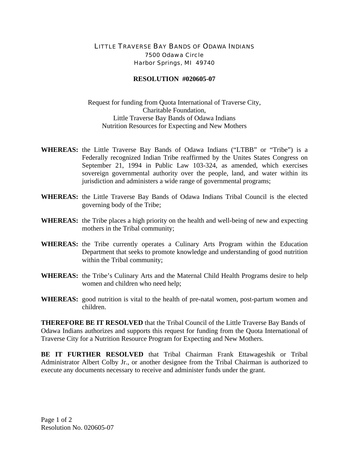## LITTLE TRAVERSE BAY BANDS OF ODAWA INDIANS 7500 Odawa Circle Harbor Springs, MI 49740

## **RESOLUTION #020605-07**

Request for funding from Quota International of Traverse City, Charitable Foundation, Little Traverse Bay Bands of Odawa Indians Nutrition Resources for Expecting and New Mothers

- **WHEREAS:** the Little Traverse Bay Bands of Odawa Indians ("LTBB" or "Tribe") is a Federally recognized Indian Tribe reaffirmed by the Unites States Congress on September 21, 1994 in Public Law 103-324, as amended, which exercises sovereign governmental authority over the people, land, and water within its jurisdiction and administers a wide range of governmental programs;
- **WHEREAS:** the Little Traverse Bay Bands of Odawa Indians Tribal Council is the elected governing body of the Tribe;
- **WHEREAS:** the Tribe places a high priority on the health and well-being of new and expecting mothers in the Tribal community;
- **WHEREAS:** the Tribe currently operates a Culinary Arts Program within the Education Department that seeks to promote knowledge and understanding of good nutrition within the Tribal community;
- **WHEREAS:** the Tribe's Culinary Arts and the Maternal Child Health Programs desire to help women and children who need help;
- **WHEREAS:** good nutrition is vital to the health of pre-natal women, post-partum women and children.

**THEREFORE BE IT RESOLVED** that the Tribal Council of the Little Traverse Bay Bands of Odawa Indians authorizes and supports this request for funding from the Quota International of Traverse City for a Nutrition Resource Program for Expecting and New Mothers.

**BE IT FURTHER RESOLVED** that Tribal Chairman Frank Ettawageshik or Tribal Administrator Albert Colby Jr., or another designee from the Tribal Chairman is authorized to execute any documents necessary to receive and administer funds under the grant.